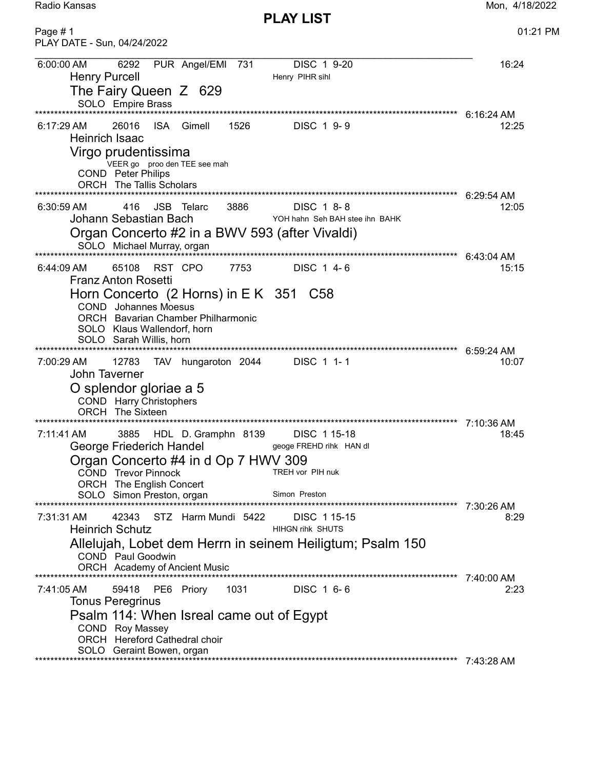Mon, 4/18/2022

Radio Kansas

**PLAY LIST** 

| Page #1<br>PLAY DATE - Sun, 04/24/2022                                                                                                                                                                                                                                                                                                           | 01:21 PM                            |
|--------------------------------------------------------------------------------------------------------------------------------------------------------------------------------------------------------------------------------------------------------------------------------------------------------------------------------------------------|-------------------------------------|
| 6:00:00 AM<br>6292<br>PUR Angel/EMI<br>DISC 1 9-20<br>731<br><b>Henry Purcell</b><br>Henry PIHR sihl<br>The Fairy Queen Z 629<br>SOLO Empire Brass                                                                                                                                                                                               | 16:24                               |
| ****************<br>*********************************<br>1526<br>26016<br>ISA.<br>Gimell<br>DISC 1 9-9<br>6:17:29 AM<br>Heinrich Isaac<br>Virgo prudentissima<br>VEER go proo den TEE see mah<br><b>COND</b> Peter Philips<br><b>ORCH</b> The Tallis Scholars                                                                                    | $6:16:24$ AM<br>12:25<br>6:29:54 AM |
| <b>JSB</b> Telarc<br>416<br>3886<br>DISC 1 8-8<br>6:30:59 AM<br>Johann Sebastian Bach<br>YOH hahn Seh BAH stee ihn BAHK<br>Organ Concerto #2 in a BWV 593 (after Vivaldi)<br>SOLO Michael Murray, organ                                                                                                                                          | 12:05                               |
| 65108<br>RST CPO<br>7753<br>DISC 1 4-6<br>6:44:09 AM<br><b>Franz Anton Rosetti</b><br>Horn Concerto (2 Horns) in E K 351 C58<br><b>COND</b> Johannes Moesus<br><b>ORCH</b> Bavarian Chamber Philharmonic<br>SOLO Klaus Wallendorf, horn<br>SOLO Sarah Willis, horn                                                                               | $6:43:04$ AM<br>15:15               |
| 12783<br>DISC 1 1-1<br>7:00:29 AM<br>TAV hungaroton 2044<br><b>John Taverner</b><br>O splendor gloriae a 5<br>COND Harry Christophers<br><b>ORCH</b> The Sixteen                                                                                                                                                                                 | 6:59:24 AM<br>10:07                 |
| *********************************<br>*********************<br>7:11:41 AM<br>3885<br>DISC 115-18<br>HDL D. Gramphn 8139<br>George Friederich Handel<br>geoge FREHD rihk HAN dl<br>Organ Concerto #4 in d Op 7 HWV 309<br>TREH vor PIH nuk<br><b>COND</b> Trevor Pinnock<br>ORCH The English Concert<br>Simon Preston<br>SOLO Simon Preston, organ | 7:10:36 AM<br>18:45                 |
| STZ Harm Mundi 5422<br>7:31:31 AM<br>42343<br>DISC 115-15<br><b>Heinrich Schutz</b><br><b>HIHGN rihk SHUTS</b><br>Allelujah, Lobet dem Herrn in seinem Heiligtum; Psalm 150<br><b>COND</b> Paul Goodwin<br>ORCH Academy of Ancient Music                                                                                                         | 8:29                                |
| 1031<br>PE6 Priory<br>DISC 1 6-6<br>7:41:05 AM<br>59418<br><b>Tonus Peregrinus</b><br>Psalm 114: When Isreal came out of Egypt<br>COND Roy Massey<br>ORCH Hereford Cathedral choir<br>SOLO Geraint Bowen, organ<br>*************************************<br>********************************                                                     | 7:40:00 AM<br>2:23<br>7:43:28 AM    |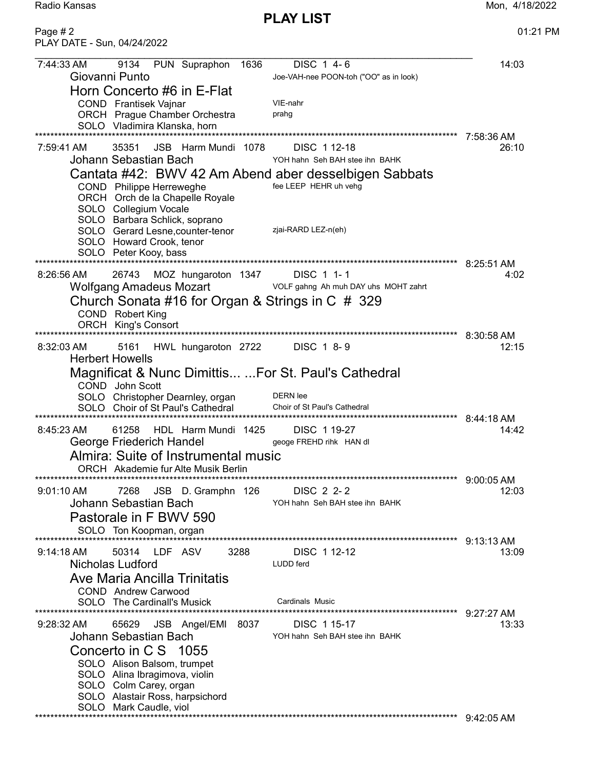PLAY LIST

Radio Kansas Mon, 4/18/2022

Page # 2 01:21 PM PLAY DATE - Sun, 04/24/2022 7:44:33 AM 9134 PUN Supraphon 1636 DISC 1 4- 6 14:03 Giovanni Punto Joe-VAH-nee POON-toh ("OO" as in look) Horn Concerto #6 in E-Flat COND Frantisek Vajnar VIE-nahr<br>ORCH Praque Chamber Orchestra Praha ORCH Prague Chamber Orchestra SOLO Vladimira Klanska, horn \*\*\*\*\*\*\*\*\*\*\*\*\*\*\*\*\*\*\*\*\*\*\*\*\*\*\*\*\*\*\*\*\*\*\*\*\*\*\*\*\*\*\*\*\*\*\*\*\*\*\*\*\*\*\*\*\*\*\*\*\*\*\*\*\*\*\*\*\*\*\*\*\*\*\*\*\*\*\*\*\*\*\*\*\*\*\*\*\*\*\*\*\*\*\*\*\*\*\*\*\*\*\*\*\*\*\*\*\*\* 7:58:36 AM 7:59:41 AM 35351 JSB Harm Mundi 1078 DISC 1 12-18 26:10 Johann Sebastian Bach Cantata #42: BWV 42 Am Abend aber desselbigen Sabbats COND Philippe Herreweghe fee LEEP HEHR uh vehg ORCH Orch de la Chapelle Royale SOLO Collegium Vocale SOLO Barbara Schlick, soprano SOLO Gerard Lesne, counter-tenor zjai-RARD LEZ-n(eh) SOLO Howard Crook, tenor SOLO Peter Kooy, bass \*\*\*\*\*\*\*\*\*\*\*\*\*\*\*\*\*\*\*\*\*\*\*\*\*\*\*\*\*\*\*\*\*\*\*\*\*\*\*\*\*\*\*\*\*\*\*\*\*\*\*\*\*\*\*\*\*\*\*\*\*\*\*\*\*\*\*\*\*\*\*\*\*\*\*\*\*\*\*\*\*\*\*\*\*\*\*\*\*\*\*\*\*\*\*\*\*\*\*\*\*\*\*\*\*\*\*\*\*\* 8:25:51 AM 8:26:56 AM 26743 MOZ hungaroton 1347 DISC 1 1- 1 4:02 Wolfgang Amadeus Mozart VOLF gahng Ah muh DAY uhs MOHT zahrt Church Sonata #16 for Organ & Strings in C # 329 COND Robert King ORCH King's Consort \*\*\*\*\*\*\*\*\*\*\*\*\*\*\*\*\*\*\*\*\*\*\*\*\*\*\*\*\*\*\*\*\*\*\*\*\*\*\*\*\*\*\*\*\*\*\*\*\*\*\*\*\*\*\*\*\*\*\*\*\*\*\*\*\*\*\*\*\*\*\*\*\*\*\*\*\*\*\*\*\*\*\*\*\*\*\*\*\*\*\*\*\*\*\*\*\*\*\*\*\*\*\*\*\*\*\*\*\*\* 8:30:58 AM 8:32:03 AM 5161 HWL hungaroton 2722 DISC 1 8-9 Herbert Howells Magnificat & Nunc Dimittis... ...For St. Paul's Cathedral COND John Scott SOLO Christopher Dearnley, organ DERN lee SOLO Choir of St Paul's Cathedral Choir of St Paul's Cathedral \*\*\*\*\*\*\*\*\*\*\*\*\*\*\*\*\*\*\*\*\*\*\*\*\*\*\*\*\*\*\*\*\*\*\*\*\*\*\*\*\*\*\*\*\*\*\*\*\*\*\*\*\*\*\*\*\*\*\*\*\*\*\*\*\*\*\*\*\*\*\*\*\*\*\*\*\*\*\*\*\*\*\*\*\*\*\*\*\*\*\*\*\*\*\*\*\*\*\*\*\*\*\*\*\*\*\*\*\*\* 8:44:18 AM 8:45:23 AM 61258 HDL Harm Mundi 1425 DISC 1 19-27 14:42 George Friederich Handel **George FREHD rihk HAN dl** Almira: Suite of Instrumental music ORCH Akademie fur Alte Musik Berlin \*\*\*\*\*\*\*\*\*\*\*\*\*\*\*\*\*\*\*\*\*\*\*\*\*\*\*\*\*\*\*\*\*\*\*\*\*\*\*\*\*\*\*\*\*\*\*\*\*\*\*\*\*\*\*\*\*\*\*\*\*\*\*\*\*\*\*\*\*\*\*\*\*\*\*\*\*\*\*\*\*\*\*\*\*\*\*\*\*\*\*\*\*\*\*\*\*\*\*\*\*\*\*\*\*\*\*\*\*\* 9:00:05 AM 9:01:10 AM 7268 JSB D. Gramphn 126 DISC 2 2- 2<br>Johann Sebastian Bach YOH hahn Seh BAH stee ihn BAHK YOH hahn Seh BAH stee ihn BAHK Pastorale in F BWV 590 SOLO Ton Koopman, organ \*\*\*\*\*\*\*\*\*\*\*\*\*\*\*\*\*\*\*\*\*\*\*\*\*\*\*\*\*\*\*\*\*\*\*\*\*\*\*\*\*\*\*\*\*\*\*\*\*\*\*\*\*\*\*\*\*\*\*\*\*\*\*\*\*\*\*\*\*\*\*\*\*\*\*\*\*\*\*\*\*\*\*\*\*\*\*\*\*\*\*\*\*\*\*\*\*\*\*\*\*\*\*\*\*\*\*\*\*\* 9:13:13 AM 9:14:18 AM 50314 LDF ASV 3288 DISC 1 12-12 13:09 Nicholas Ludford LUDD ferd Ave Maria Ancilla Trinitatis COND Andrew Carwood SOLO The Cardinall's Musick Cardinals Music \*\*\*\*\*\*\*\*\*\*\*\*\*\*\*\*\*\*\*\*\*\*\*\*\*\*\*\*\*\*\*\*\*\*\*\*\*\*\*\*\*\*\*\*\*\*\*\*\*\*\*\*\*\*\*\*\*\*\*\*\*\*\*\*\*\*\*\*\*\*\*\*\*\*\*\*\*\*\*\*\*\*\*\*\*\*\*\*\*\*\*\*\*\*\*\*\*\*\*\*\*\*\*\*\*\*\*\*\*\* 9:27:27 AM 9:28:32 AM 65629 JSB Angel/EMI 8037 DISC 1 15-17 Johann Sebastian Bach YOH hahn Seh BAH stee ihn BAHK Concerto in C S 1055 SOLO Alison Balsom, trumpet SOLO Alina Ibragimova, violin SOLO Colm Carey, organ SOLO Alastair Ross, harpsichord SOLO Mark Caudle, viol \*\*\*\*\*\*\*\*\*\*\*\*\*\*\*\*\*\*\*\*\*\*\*\*\*\*\*\*\*\*\*\*\*\*\*\*\*\*\*\*\*\*\*\*\*\*\*\*\*\*\*\*\*\*\*\*\*\*\*\*\*\*\*\*\*\*\*\*\*\*\*\*\*\*\*\*\*\*\*\*\*\*\*\*\*\*\*\*\*\*\*\*\*\*\*\*\*\*\*\*\*\*\*\*\*\*\*\*\*\* 9:42:05 AM